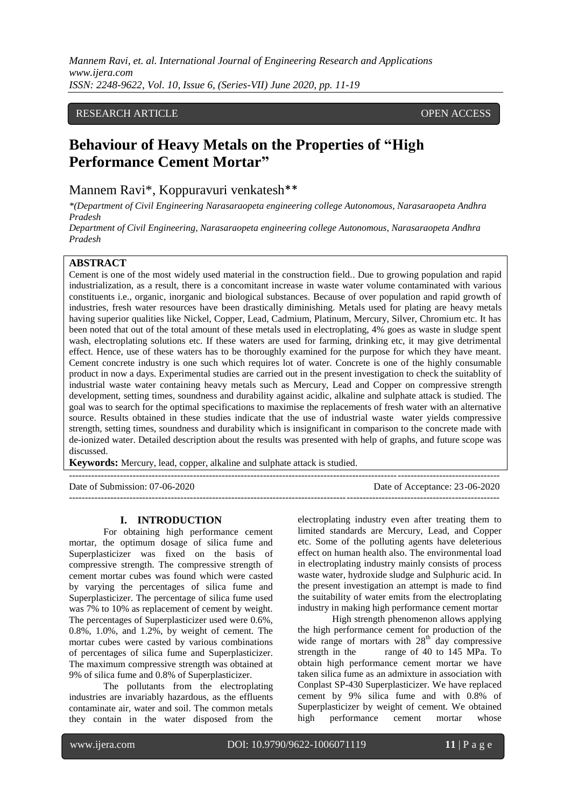*Mannem Ravi, et. al. International Journal of Engineering Research and Applications www.ijera.com ISSN: 2248-9622, Vol. 10, Issue 6, (Series-VII) June 2020, pp. 11-19*

## RESEARCH ARTICLE **CONSERVERS** OPEN ACCESS

## **Behaviour of Heavy Metals on the Properties of "High Performance Cement Mortar"**

Mannem Ravi\*, Koppuravuri venkatesh\*\*

*\*(Department of Civil Engineering Narasaraopeta engineering college Autonomous, Narasaraopeta Andhra Pradesh*

*Department of Civil Engineering, Narasaraopeta engineering college Autonomous, Narasaraopeta Andhra Pradesh*

### **ABSTRACT**

Cement is one of the most widely used material in the construction field.. Due to growing population and rapid industrialization, as a result, there is a concomitant increase in waste water volume contaminated with various constituents i.e., organic, inorganic and biological substances. Because of over population and rapid growth of industries, fresh water resources have been drastically diminishing. Metals used for plating are heavy metals having superior qualities like Nickel, Copper, Lead, Cadmium, Platinum, Mercury, Silver, Chromium etc. It has been noted that out of the total amount of these metals used in electroplating, 4% goes as waste in sludge spent wash, electroplating solutions etc. If these waters are used for farming, drinking etc, it may give detrimental effect. Hence, use of these waters has to be thoroughly examined for the purpose for which they have meant. Cement concrete industry is one such which requires lot of water. Concrete is one of the highly consumable product in now a days. Experimental studies are carried out in the present investigation to check the suitablity of industrial waste water containing heavy metals such as Mercury, Lead and Copper on compressive strength development, setting times, soundness and durability against acidic, alkaline and sulphate attack is studied. The goal was to search for the optimal specifications to maximise the replacements of fresh water with an alternative source. Results obtained in these studies indicate that the use of industrial waste water yields compressive strength, setting times, soundness and durability which is insignificant in comparison to the concrete made with de-ionized water. Detailed description about the results was presented with help of graphs, and future scope was discussed.

---------------------------------------------------------------------------------------------------------------------------------------

**Keywords:** Mercury, lead, copper, alkaline and sulphate attack is studied.

Date of Submission: 07-06-2020 Date of Acceptance: 23-06-2020 ---------------------------------------------------------------------------------------------------------------------------------------

#### **I. INTRODUCTION**

For obtaining high performance cement mortar, the optimum dosage of silica fume and Superplasticizer was fixed on the basis of compressive strength. The compressive strength of cement mortar cubes was found which were casted by varying the percentages of silica fume and Superplasticizer. The percentage of silica fume used was 7% to 10% as replacement of cement by weight. The percentages of Superplasticizer used were 0.6%, 0.8%, 1.0%, and 1.2%, by weight of cement. The mortar cubes were casted by various combinations of percentages of silica fume and Superplasticizer. The maximum compressive strength was obtained at 9% of silica fume and 0.8% of Superplasticizer.

The pollutants from the electroplating industries are invariably hazardous, as the effluents contaminate air, water and soil. The common metals they contain in the water disposed from the

electroplating industry even after treating them to limited standards are Mercury, Lead, and Copper etc. Some of the polluting agents have deleterious effect on human health also. The environmental load in electroplating industry mainly consists of process waste water, hydroxide sludge and Sulphuric acid. In the present investigation an attempt is made to find the suitability of water emits from the electroplating industry in making high performance cement mortar

High strength phenomenon allows applying the high performance cement for production of the wide range of mortars with 28<sup>th</sup> day compressive strength in the range of 40 to 145 MPa. To obtain high performance cement mortar we have taken silica fume as an admixture in association with Conplast SP-430 Superplasticizer. We have replaced cement by 9% silica fume and with 0.8% of Superplasticizer by weight of cement. We obtained high performance cement mortar whose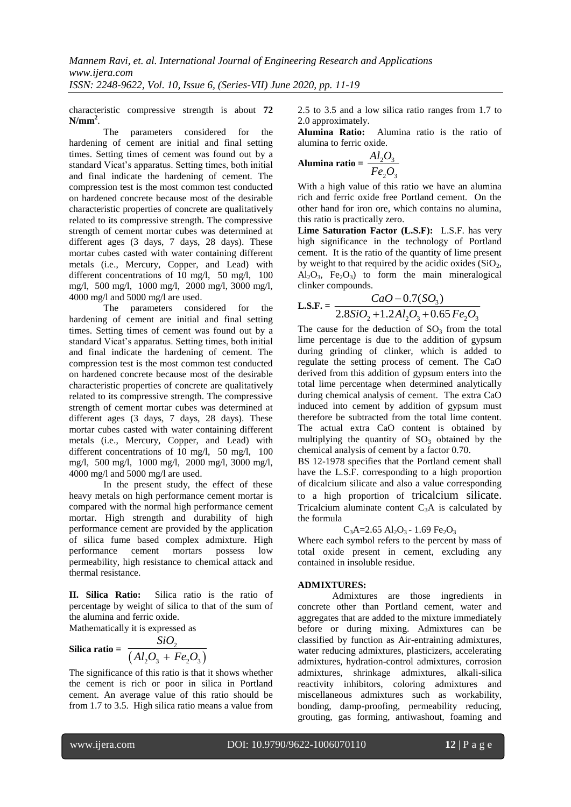characteristic compressive strength is about **72 N/mm<sup>2</sup>** .

The parameters considered for the hardening of cement are initial and final setting times. Setting times of cement was found out by a standard Vicat's apparatus. Setting times, both initial and final indicate the hardening of cement. The compression test is the most common test conducted on hardened concrete because most of the desirable characteristic properties of concrete are qualitatively related to its compressive strength. The compressive strength of cement mortar cubes was determined at different ages (3 days, 7 days, 28 days). These mortar cubes casted with water containing different metals (i.e., Mercury, Copper, and Lead) with different concentrations of 10 mg/l, 50 mg/l, 100 mg/l, 500 mg/l, 1000 mg/l, 2000 mg/l, 3000 mg/l, 4000 mg/l and 5000 mg/l are used.

The parameters considered for the hardening of cement are initial and final setting times. Setting times of cement was found out by a standard Vicat's apparatus. Setting times, both initial and final indicate the hardening of cement. The compression test is the most common test conducted on hardened concrete because most of the desirable characteristic properties of concrete are qualitatively related to its compressive strength. The compressive strength of cement mortar cubes was determined at different ages (3 days, 7 days, 28 days). These mortar cubes casted with water containing different metals (i.e., Mercury, Copper, and Lead) with different concentrations of 10 mg/l, 50 mg/l, 100 mg/l, 500 mg/l, 1000 mg/l, 2000 mg/l, 3000 mg/l, 4000 mg/l and 5000 mg/l are used.

In the present study, the effect of these heavy metals on high performance cement mortar is compared with the normal high performance cement mortar. High strength and durability of high performance cement are provided by the application of silica fume based complex admixture. High performance cement mortars possess low permeability, high resistance to chemical attack and thermal resistance.

**II. Silica Ratio:** Silica ratio is the ratio of percentage by weight of silica to that of the sum of the alumina and ferric oxide.

Mathematically it is expressed as

$$
\text{Silica ratio} = \frac{SiO_2}{\left(Al_2O_3 + Fe_2O_3\right)}
$$

The significance of this ratio is that it shows whether the cement is rich or poor in silica in Portland cement. An average value of this ratio should be from 1.7 to 3.5. High silica ratio means a value from 2.5 to 3.5 and a low silica ratio ranges from 1.7 to 2.0 approximately.

**Alumina Ratio:** Alumina ratio is the ratio of alumina to ferric oxide.

Alumina ratio = 
$$
\frac{Al_2O_3}{Fe_2O_3}
$$

With a high value of this ratio we have an alumina rich and ferric oxide free Portland cement. On the other hand for iron ore, which contains no alumina, this ratio is practically zero.

**Lime Saturation Factor (L.S.F):** L.S.F. has very high significance in the technology of Portland cement. It is the ratio of the quantity of lime present by weight to that required by the acidic oxides  $(SiO<sub>2</sub>,$  $Al_2O_3$ ,  $Fe_2O_3$ ) to form the main mineralogical clinker compounds.

$$
\text{Cinker compounds.} \quad \text{CaO} - 0.7(SO_3) \\ \text{L.S.F.} = \frac{CaO - 0.7(SO_3)}{2.8SiO_2 + 1.2Al_2O_3 + 0.65Fe_2O_3}
$$

The cause for the deduction of  $SO<sub>3</sub>$  from the total lime percentage is due to the addition of gypsum during grinding of clinker, which is added to regulate the setting process of cement. The CaO derived from this addition of gypsum enters into the total lime percentage when determined analytically during chemical analysis of cement. The extra CaO induced into cement by addition of gypsum must therefore be subtracted from the total lime content. The actual extra CaO content is obtained by multiplying the quantity of  $SO<sub>3</sub>$  obtained by the chemical analysis of cement by a factor 0.70.

BS 12-1978 specifies that the Portland cement shall have the L.S.F. corresponding to a high proportion of dicalcium silicate and also a value corresponding to a high proportion of tricalcium silicate. Tricalcium aluminate content  $C_3A$  is calculated by the formula

 $C_3A=2.65$  Al<sub>2</sub>O<sub>3</sub> - 1.69 Fe<sub>2</sub>O<sub>3</sub>

Where each symbol refers to the percent by mass of total oxide present in cement, excluding any contained in insoluble residue.

## **ADMIXTURES:**

Admixtures are those ingredients in concrete other than Portland cement, water and aggregates that are added to the mixture immediately before or during mixing. Admixtures can be classified by function as Air-entraining admixtures, water reducing admixtures, plasticizers, accelerating admixtures, hydration-control admixtures, corrosion admixtures, shrinkage admixtures, alkali-silica reactivity inhibitors, coloring admixtures and miscellaneous admixtures such as workability, bonding, damp-proofing, permeability reducing, grouting, gas forming, antiwashout, foaming and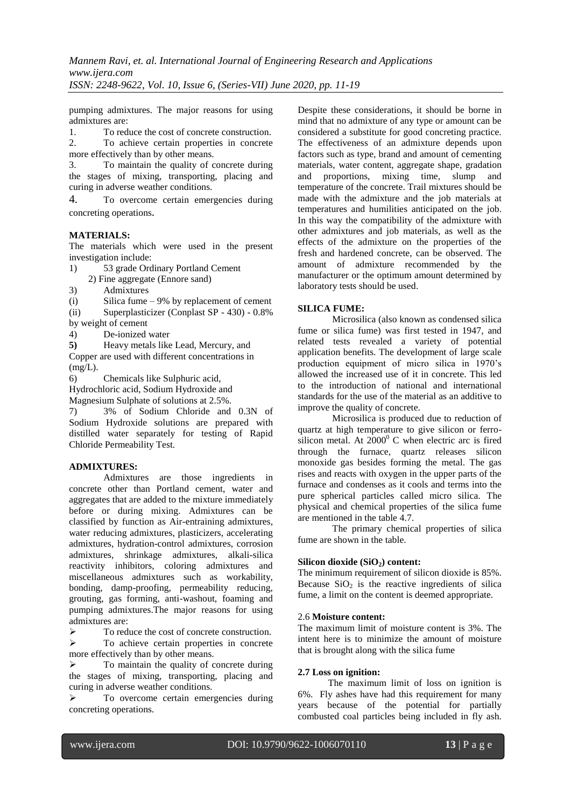pumping admixtures. The major reasons for using admixtures are:

1. To reduce the cost of concrete construction.<br>2. To achieve certain properties in concrete 2. To achieve certain properties in concrete more effectively than by other means.

3. To maintain the quality of concrete during the stages of mixing, transporting, placing and curing in adverse weather conditions.

4. To overcome certain emergencies during concreting operations.

#### **MATERIALS:**

The materials which were used in the present investigation include:

1) 53 grade Ordinary Portland Cement

2) Fine aggregate (Ennore sand)

3) Admixtures

(i) Silica fume – 9% by replacement of cement

(ii) Superplasticizer (Conplast SP - 430) - 0.8% by weight of cement

4) De-ionized water

**5)** Heavy metals like Lead, Mercury, and Copper are used with different concentrations in  $(mg/L)$ .

6) Chemicals like Sulphuric acid,

Hydrochloric acid, Sodium Hydroxide and

Magnesium Sulphate of solutions at 2.5%.

7) 3% of Sodium Chloride and 0.3N of Sodium Hydroxide solutions are prepared with distilled water separately for testing of Rapid Chloride Permeability Test.

## **ADMIXTURES:**

Admixtures are those ingredients in concrete other than Portland cement, water and aggregates that are added to the mixture immediately before or during mixing. Admixtures can be classified by function as Air-entraining admixtures, water reducing admixtures, plasticizers, accelerating admixtures, hydration-control admixtures, corrosion admixtures, shrinkage admixtures, alkali-silica reactivity inhibitors, coloring admixtures and miscellaneous admixtures such as workability, bonding, damp-proofing, permeability reducing, grouting, gas forming, anti-washout, foaming and pumping admixtures.The major reasons for using admixtures are:

 $\triangleright$  To reduce the cost of concrete construction.  $\triangleright$  To achieve certain properties in concrete more effectively than by other means.

 To maintain the quality of concrete during the stages of mixing, transporting, placing and curing in adverse weather conditions.

 To overcome certain emergencies during concreting operations.

Despite these considerations, it should be borne in mind that no admixture of any type or amount can be considered a substitute for good concreting practice. The effectiveness of an admixture depends upon factors such as type, brand and amount of cementing materials, water content, aggregate shape, gradation and proportions, mixing time, slump and temperature of the concrete. Trail mixtures should be made with the admixture and the job materials at temperatures and humilities anticipated on the job. In this way the compatibility of the admixture with other admixtures and job materials, as well as the effects of the admixture on the properties of the fresh and hardened concrete, can be observed. The amount of admixture recommended by the manufacturer or the optimum amount determined by laboratory tests should be used.

## **SILICA FUME:**

Microsilica (also known as condensed silica fume or silica fume) was first tested in 1947, and related tests revealed a variety of potential application benefits. The development of large scale production equipment of micro silica in 1970's allowed the increased use of it in concrete. This led to the introduction of national and international standards for the use of the material as an additive to improve the quality of concrete.

Microsilica is produced due to reduction of quartz at high temperature to give silicon or ferrosilicon metal. At  $2000^{\circ}$  C when electric arc is fired through the furnace, quartz releases silicon monoxide gas besides forming the metal. The gas rises and reacts with oxygen in the upper parts of the furnace and condenses as it cools and terms into the pure spherical particles called micro silica. The physical and chemical properties of the silica fume are mentioned in the table 4.7.

The primary chemical properties of silica fume are shown in the table.

## **Silicon dioxide (SiO2) content:**

The minimum requirement of silicon dioxide is 85%. Because  $SiO<sub>2</sub>$  is the reactive ingredients of silica fume, a limit on the content is deemed appropriate.

#### 2.6 **Moisture content:**

The maximum limit of moisture content is 3%. The intent here is to minimize the amount of moisture that is brought along with the silica fume

#### **2.7 Loss on ignition:**

The maximum limit of loss on ignition is 6%. Fly ashes have had this requirement for many years because of the potential for partially combusted coal particles being included in fly ash.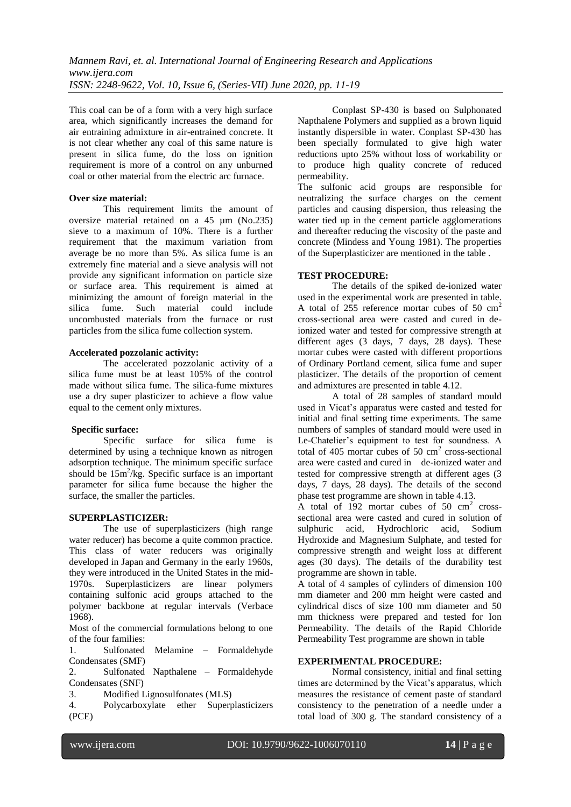This coal can be of a form with a very high surface area, which significantly increases the demand for air entraining admixture in air-entrained concrete. It is not clear whether any coal of this same nature is present in silica fume, do the loss on ignition requirement is more of a control on any unburned coal or other material from the electric arc furnace.

#### **Over size material:**

This requirement limits the amount of oversize material retained on a 45 µm (No.235) sieve to a maximum of 10%. There is a further requirement that the maximum variation from average be no more than 5%. As silica fume is an extremely fine material and a sieve analysis will not provide any significant information on particle size or surface area. This requirement is aimed at minimizing the amount of foreign material in the silica fume. Such material could include fume. Such material could include uncombusted materials from the furnace or rust particles from the silica fume collection system.

#### **Accelerated pozzolanic activity:**

The accelerated pozzolanic activity of a silica fume must be at least 105% of the control made without silica fume. The silica-fume mixtures use a dry super plasticizer to achieve a flow value equal to the cement only mixtures.

#### **Specific surface:**

Specific surface for silica fume is determined by using a technique known as nitrogen adsorption technique. The minimum specific surface should be  $15m^2/kg$ . Specific surface is an important parameter for silica fume because the higher the surface, the smaller the particles.

#### **SUPERPLASTICIZER:**

The use of superplasticizers (high range water reducer) has become a quite common practice. This class of water reducers was originally developed in Japan and Germany in the early 1960s, they were introduced in the United States in the mid-1970s. Superplasticizers are linear polymers containing sulfonic acid groups attached to the polymer backbone at regular intervals (Verbace 1968).

Most of the commercial formulations belong to one of the four families:

1. Sulfonated Melamine – Formaldehyde Condensates (SMF)

2. Sulfonated Napthalene – Formaldehyde Condensates (SNF)

3. Modified Lignosulfonates (MLS)

4. Polycarboxylate ether Superplasticizers (PCE)

Conplast SP-430 is based on Sulphonated Napthalene Polymers and supplied as a brown liquid instantly dispersible in water. Conplast SP-430 has been specially formulated to give high water reductions upto 25% without loss of workability or to produce high quality concrete of reduced permeability.

The sulfonic acid groups are responsible for neutralizing the surface charges on the cement particles and causing dispersion, thus releasing the water tied up in the cement particle agglomerations and thereafter reducing the viscosity of the paste and concrete (Mindess and Young 1981). The properties of the Superplasticizer are mentioned in the table .

#### **TEST PROCEDURE:**

The details of the spiked de-ionized water used in the experimental work are presented in table. A total of 255 reference mortar cubes of 50 cm<sup>2</sup> cross-sectional area were casted and cured in deionized water and tested for compressive strength at different ages (3 days, 7 days, 28 days). These mortar cubes were casted with different proportions of Ordinary Portland cement, silica fume and super plasticizer. The details of the proportion of cement and admixtures are presented in table 4.12.

A total of 28 samples of standard mould used in Vicat's apparatus were casted and tested for initial and final setting time experiments. The same numbers of samples of standard mould were used in Le-Chatelier's equipment to test for soundness. A total of  $405$  mortar cubes of  $50 \text{ cm}^2$  cross-sectional area were casted and cured in de-ionized water and tested for compressive strength at different ages (3 days, 7 days, 28 days). The details of the second phase test programme are shown in table 4.13.

A total of  $192$  mortar cubes of  $50 \text{ cm}^2$  crosssectional area were casted and cured in solution of sulphuric acid, Hydrochloric acid, Sodium Hydroxide and Magnesium Sulphate, and tested for compressive strength and weight loss at different ages (30 days). The details of the durability test programme are shown in table.

A total of 4 samples of cylinders of dimension 100 mm diameter and 200 mm height were casted and cylindrical discs of size 100 mm diameter and 50 mm thickness were prepared and tested for Ion Permeability. The details of the Rapid Chloride Permeability Test programme are shown in table

#### **EXPERIMENTAL PROCEDURE:**

Normal consistency, initial and final setting times are determined by the Vicat's apparatus, which measures the resistance of cement paste of standard consistency to the penetration of a needle under a total load of 300 g. The standard consistency of a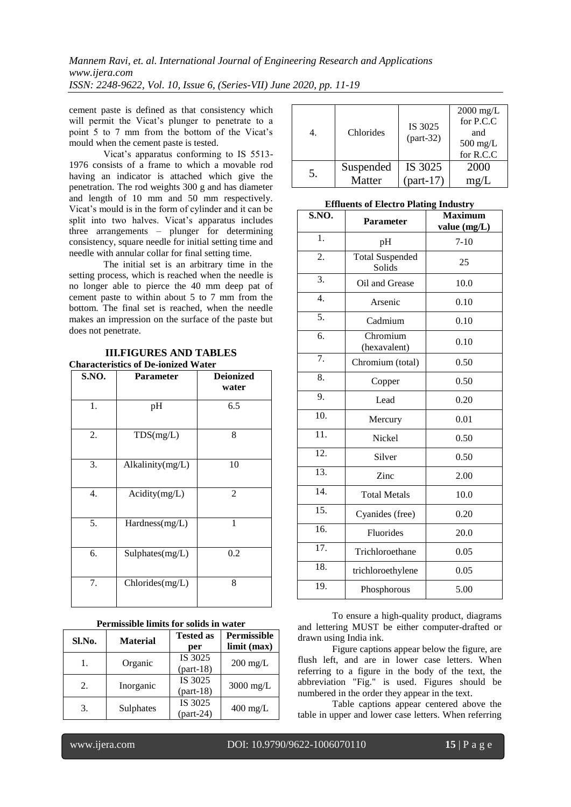cement paste is defined as that consistency which will permit the Vicat's plunger to penetrate to a point 5 to 7 mm from the bottom of the Vicat's mould when the cement paste is tested.

Vicat's apparatus conforming to IS 5513- 1976 consists of a frame to which a movable rod having an indicator is attached which give the penetration. The rod weights 300 g and has diameter and length of 10 mm and 50 mm respectively. Vicat's mould is in the form of cylinder and it can be split into two halves. Vicat's apparatus includes three arrangements – plunger for determining consistency, square needle for initial setting time and needle with annular collar for final setting time.

The initial set is an arbitrary time in the setting process, which is reached when the needle is no longer able to pierce the 40 mm deep pat of cement paste to within about 5 to 7 mm from the bottom. The final set is reached, when the needle makes an impression on the surface of the paste but does not penetrate.

| S.NO. | <b>Parameter</b> | <b>Deionized</b><br>water |
|-------|------------------|---------------------------|
| 1.    | pH               | 6.5                       |
| 2.    | TDS(mg/L)        | 8                         |
| 3.    | Alkalinity(mg/L) | 10                        |
| 4.    | Acidity(mg/L)    | $\overline{2}$            |
| 5.    | Hardness(mg/L)   | 1                         |
| 6.    | Sulphates(mg/L)  | 0.2                       |
| 7.    | Chlorides(mg/L)  | 8                         |

# **III.FIGURES AND TABLES**

| <b>Permissible limits for solids in water</b> |  |  |  |
|-----------------------------------------------|--|--|--|
|                                               |  |  |  |

| Sl.No. | <b>Material</b> | <b>Tested as</b> | <b>Permissible</b> |
|--------|-----------------|------------------|--------------------|
|        |                 | per              | limit (max)        |
|        | Organic         | IS 3025          | $200 \text{ mg/L}$ |
|        |                 | $part-18$        |                    |
| 2.     |                 | IS 3025          |                    |
|        | Inorganic       | $part-18)$       | $3000$ mg/L        |
| 3.     |                 | IS 3025          |                    |
|        | Sulphates       | $part-24)$       | $400 \text{ mg/L}$ |

|    | Chlorides | IS 3025<br>$(part-32)$ | $2000 \text{ mg/L}$<br>for P.C.C<br>and<br>$500 \text{ mg/L}$<br>for R.C.C |
|----|-----------|------------------------|----------------------------------------------------------------------------|
| 5. | Suspended | IS 3025                | 2000                                                                       |
|    | Matter    | $part-17$              | mg/L                                                                       |

#### **Effluents of Electro Plating Industry**

| S.NO.             | <b>Parameter</b>                 | <b>Maximum</b><br>value (mg/L) |
|-------------------|----------------------------------|--------------------------------|
| 1.                | pH                               | $7 - 10$                       |
| 2.                | <b>Total Suspended</b><br>Solids | 25                             |
| 3.                | Oil and Grease                   | 10.0                           |
| $\overline{4}$ .  | Arsenic                          | 0.10                           |
| 5.                | Cadmium                          | 0.10                           |
| 6.                | Chromium<br>(hexavalent)         | 0.10                           |
| $\overline{7}$ .  | Chromium (total)                 | 0.50                           |
| 8.                | Copper                           | 0.50                           |
| 9.                | Lead                             | 0.20                           |
| $\overline{10}$ . | Mercury                          | 0.01                           |
| $\overline{11}$ . | Nickel                           | 0.50                           |
| 12.               | Silver                           | 0.50                           |
| $\overline{13}$ . | Zinc                             | 2.00                           |
| 14.               | <b>Total Metals</b>              | 10.0                           |
| 15.               | Cyanides (free)                  | 0.20                           |
| 16.               | Fluorides                        | 20.0                           |
| $\overline{17}$ . | Trichloroethane                  | 0.05                           |
| 18.               | trichloroethylene                | 0.05                           |
| 19.               | Phosphorous                      | 5.00                           |

To ensure a high-quality product, diagrams and lettering MUST be either computer-drafted or drawn using India ink.

Figure captions appear below the figure, are flush left, and are in lower case letters. When referring to a figure in the body of the text, the abbreviation "Fig." is used. Figures should be numbered in the order they appear in the text.

Table captions appear centered above the table in upper and lower case letters. When referring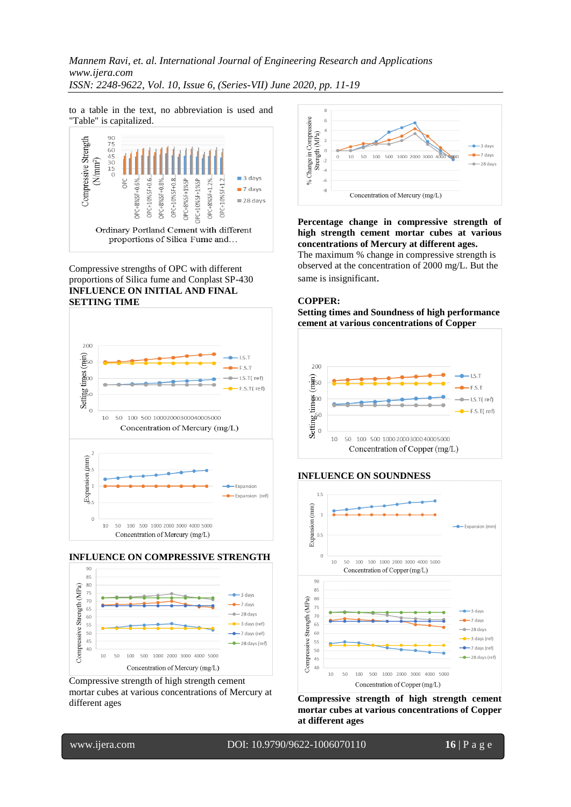*Mannem Ravi, et. al. International Journal of Engineering Research and Applications www.ijera.com ISSN: 2248-9622, Vol. 10, Issue 6, (Series-VII) June 2020, pp. 11-19*

to a table in the text, no abbreviation is used and "Table" is capitalized.



Compressive strengths of OPC with different proportions of Silica fume and Conplast SP-430 **INFLUENCE ON INITIAL AND FINAL SETTING TIME**







Compressive strength of high strength cement mortar cubes at various concentrations of Mercury at different ages



**Percentage change in compressive strength of high strength cement mortar cubes at various concentrations of Mercury at different ages.** The maximum % change in compressive strength is observed at the concentration of 2000 mg/L. But the same is insignificant.

#### **COPPER:**

**Setting times and Soundness of high performance cement at various concentrations of Copper**







**Compressive strength of high strength cement mortar cubes at various concentrations of Copper at different ages**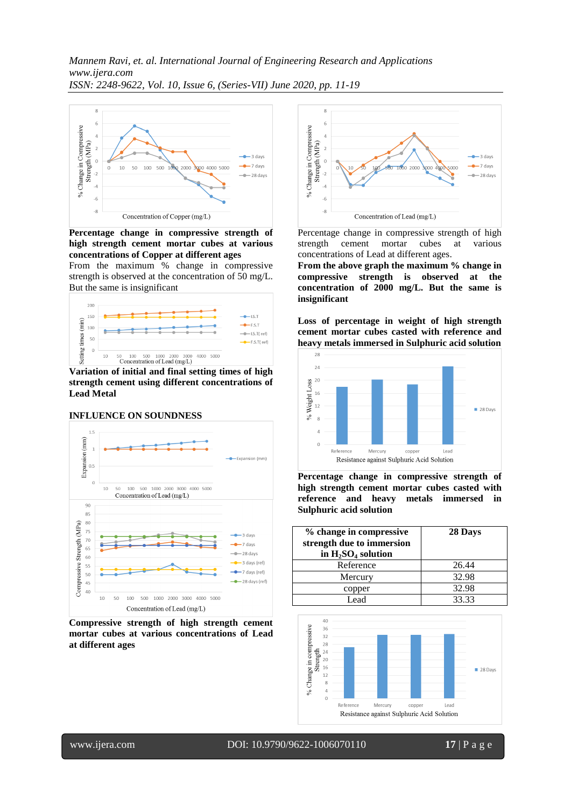

**Percentage change in compressive strength of high strength cement mortar cubes at various concentrations of Copper at different ages**

From the maximum % change in compressive strength is observed at the concentration of 50 mg/L. But the same is insignificant



**Variation of initial and final setting times of high strength cement using different concentrations of Lead Metal**

#### **INFLUENCE ON SOUNDNESS**



**Compressive strength of high strength cement mortar cubes at various concentrations of Lead at different ages**



Percentage change in compressive strength of high strength cement mortar cubes at various concentrations of Lead at different ages.

**From the above graph the maximum % change in compressive strength is observed at the concentration of 2000 mg/L. But the same is insignificant**

**Loss of percentage in weight of high strength cement mortar cubes casted with reference and heavy metals immersed in Sulphuric acid solution**



**Percentage change in compressive strength of high strength cement mortar cubes casted with reference and heavy metals immersed in Sulphuric acid solution**

| % change in compressive<br>strength due to immersion<br>in $H_2SO_4$ solution | 28 Days |
|-------------------------------------------------------------------------------|---------|
| Reference                                                                     | 26.44   |
| Mercury                                                                       | 32.98   |
| copper                                                                        | 32.98   |
| Lead                                                                          | 33.33   |



www.ijera.com DOI: 10.9790/9622-1006070110 **17** | P a g e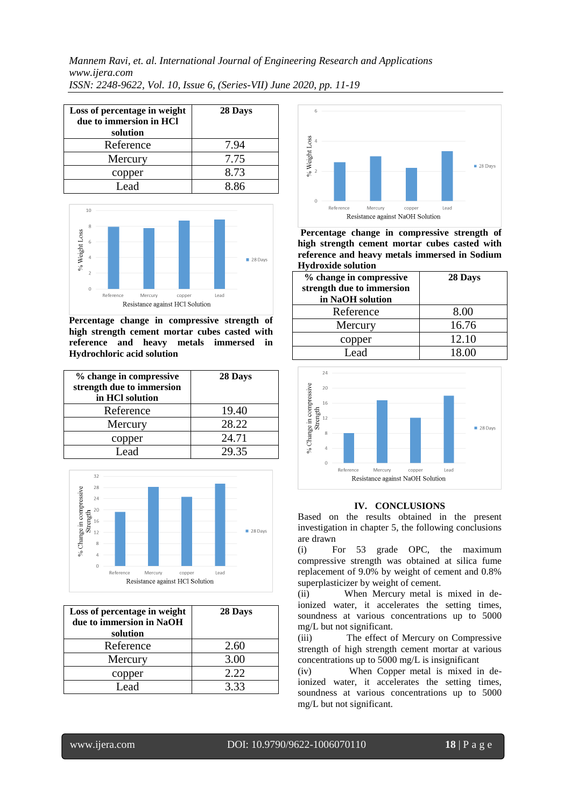*Mannem Ravi, et. al. International Journal of Engineering Research and Applications www.ijera.com ISSN: 2248-9622, Vol. 10, Issue 6, (Series-VII) June 2020, pp. 11-19*

| Loss of percentage in weight<br>due to immersion in HCl<br>solution | 28 Days |
|---------------------------------------------------------------------|---------|
| Reference                                                           | 7.94    |
| Mercury                                                             | 7.75    |
| copper                                                              | 8.73    |
| Lead                                                                | 886     |



**Percentage change in compressive strength of high strength cement mortar cubes casted with reference and heavy metals immersed in Hydrochloric acid solution**

| % change in compressive<br>strength due to immersion<br>in HCl solution | 28 Days |
|-------------------------------------------------------------------------|---------|
| Reference                                                               | 19.40   |
| Mercury                                                                 | 28.22   |
| copper                                                                  | 24.71   |
| Lead                                                                    | 29.35   |



| Loss of percentage in weight<br>due to immersion in NaOH<br>solution | 28 Days |
|----------------------------------------------------------------------|---------|
| Reference                                                            | 2.60    |
| Mercury                                                              | 3.00    |
| copper                                                               | 2.22    |
| Lead                                                                 | 3.33    |



**Percentage change in compressive strength of high strength cement mortar cubes casted with reference and heavy metals immersed in Sodium Hydroxide solution**

| % change in compressive<br>strength due to immersion<br>in NaOH solution | 28 Days |
|--------------------------------------------------------------------------|---------|
| Reference                                                                | 8.00    |
| Mercury                                                                  | 16.76   |
| copper                                                                   | 12.10   |
| Lead.                                                                    | 18.00   |



#### **IV. CONCLUSIONS**

Based on the results obtained in the present investigation in chapter 5, the following conclusions are drawn

(i) For 53 grade OPC, the maximum compressive strength was obtained at silica fume replacement of 9.0% by weight of cement and 0.8% superplasticizer by weight of cement.

(ii) When Mercury metal is mixed in deionized water, it accelerates the setting times, soundness at various concentrations up to 5000 mg/L but not significant.

(iii) The effect of Mercury on Compressive strength of high strength cement mortar at various concentrations up to 5000 mg/L is insignificant

(iv) When Copper metal is mixed in deionized water, it accelerates the setting times, soundness at various concentrations up to 5000 mg/L but not significant.